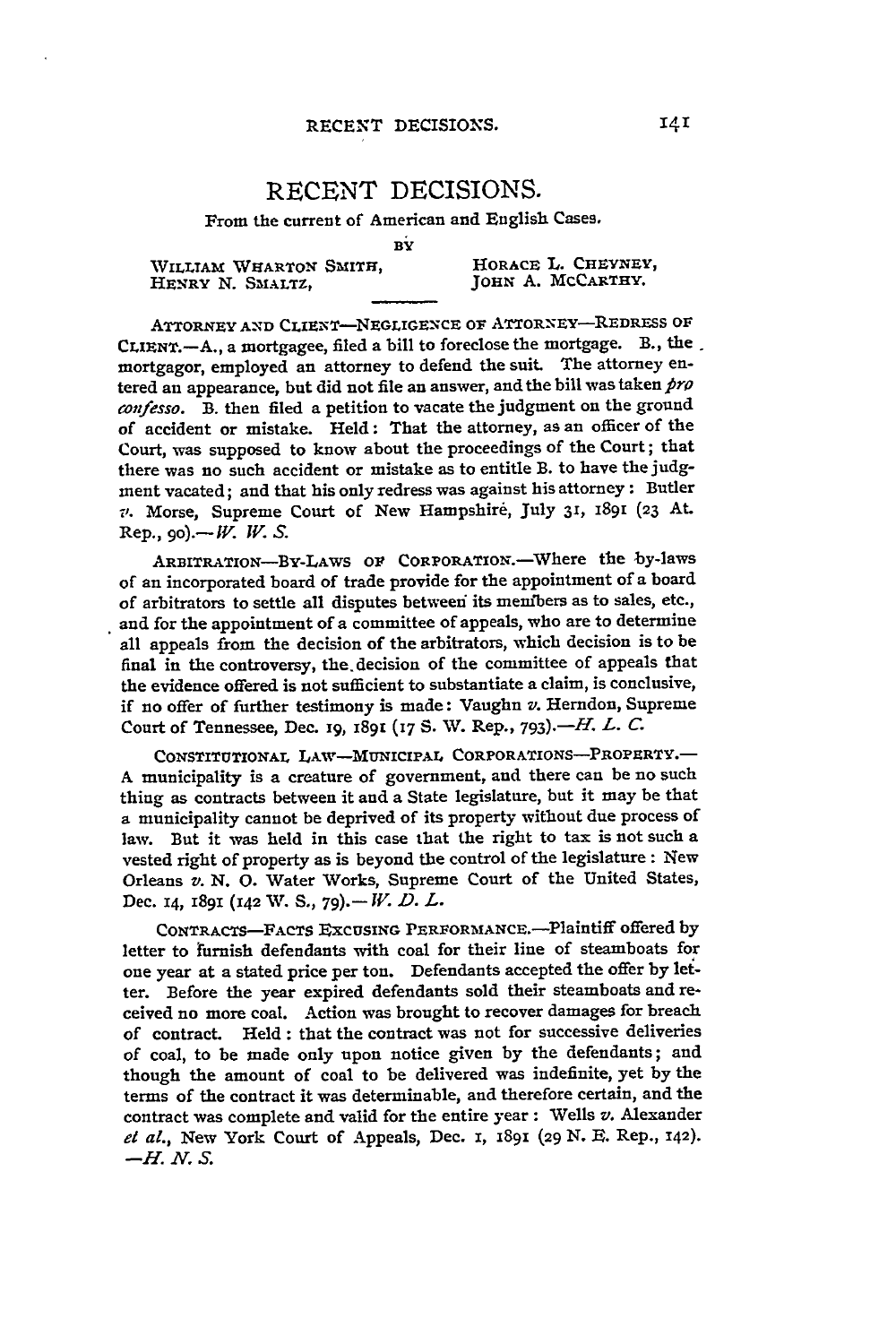## RECENT DECISIONS.

## From the current of American and English Cases.

BY

WILLIAM WHARTON SMITH, **HORACE L. CHEYNEY, HENRY N. SMALTZ, 1988** 

JOHN A. MCCARTHY.

ATTORNEY AND CLIENT-NEGLIGENCE OF ATTORNEY-REDRESS OF CLIENT.-A., a mortgagee, filed a bill to foreclose the mortgage. B., the. mortgagor, employed an attorney to defend the suit. The attorney entered an appearance, but did not file an answer, and the bill was taken *pro cofesso.* B. then filed a petition to vacate the judgment on the ground of accident or mistake. Held: That the attorney, as an officer of the Court, was supposed to know about the proceedings of the Court; that there was no such accident or mistake as to entitle B. to have the **judg**ment vacated; and that his only redress was against his attorney **:** Butler *v.* Morse, Supreme Court of New Hampshire, July **31,** 1891 **(23** At.  $Rep.$ , *go*).—*W. W. S.* 

ARBITRATION-BY-LAWS OF CORPORATION.-Where the by-laws of an incorporated board of trade provide for the appointment of a board of arbitrators to settle all disputes betweei its members as to sales, etc., and for the appointment of a committee of appeals, who are to determine all appeals from the decision of the arbitrators, which decision is to be final in the controversy, the. decision of the committee of appeals that the evidence offered is not sufficient to substantiate a claim, is conclusive, if no offer of further testimony is made: Vaughn v. Herndon, Supreme Court of Tennessee, Dec. **19, 1891** (7 **S. V.** Rep., **<sup>7</sup> <sup>9</sup> <sup>3</sup> ).-H.** *L. C.*

CONSTITUTIONAL LAW-MUNICIPAL CORPORATIONS-PROPERTY. **A** municipality is a creature of government, and there can be no such thing as contracts between it and a State legislature, but it may be that a municipality cannot be deprived of its property without due process of law. But it was held in this case that the right to tax is not such a vested right of property as is beyond the control of the legislature: New Orleans *v.* **N. 0.** Water Works, Supreme Court of the United States, Dec. 14, 1891 (142 %V. **S., 79).-** *IV. D. L.*

**CONTRACTS-FACTS** EXCUSING PERFORANcE.-Plaintiff offered **by** letter to furnish defendants with coal for their line of steamboats for one year at a stated price per ton. Defendants accepted the offer **by let**ter. Before the year expired defendants sold their steamboats and received no more coal. Action was brought to recover damages for breach of contract. Held: that the contract was not for successive deliveries of coal, to be made only upon notice given **by** the defendants; and though the amount of coal to be delivered was indefinite, yet **by** the terms of the contract it was determinable, and therefore certain, and the contract was complete and valid for the entire year : Wells *v.* Alexander *el al.,* New York Court of Appeals, Dec. *I,* x891 (29 N. **E.** Rep., 142). *-H.N.S.*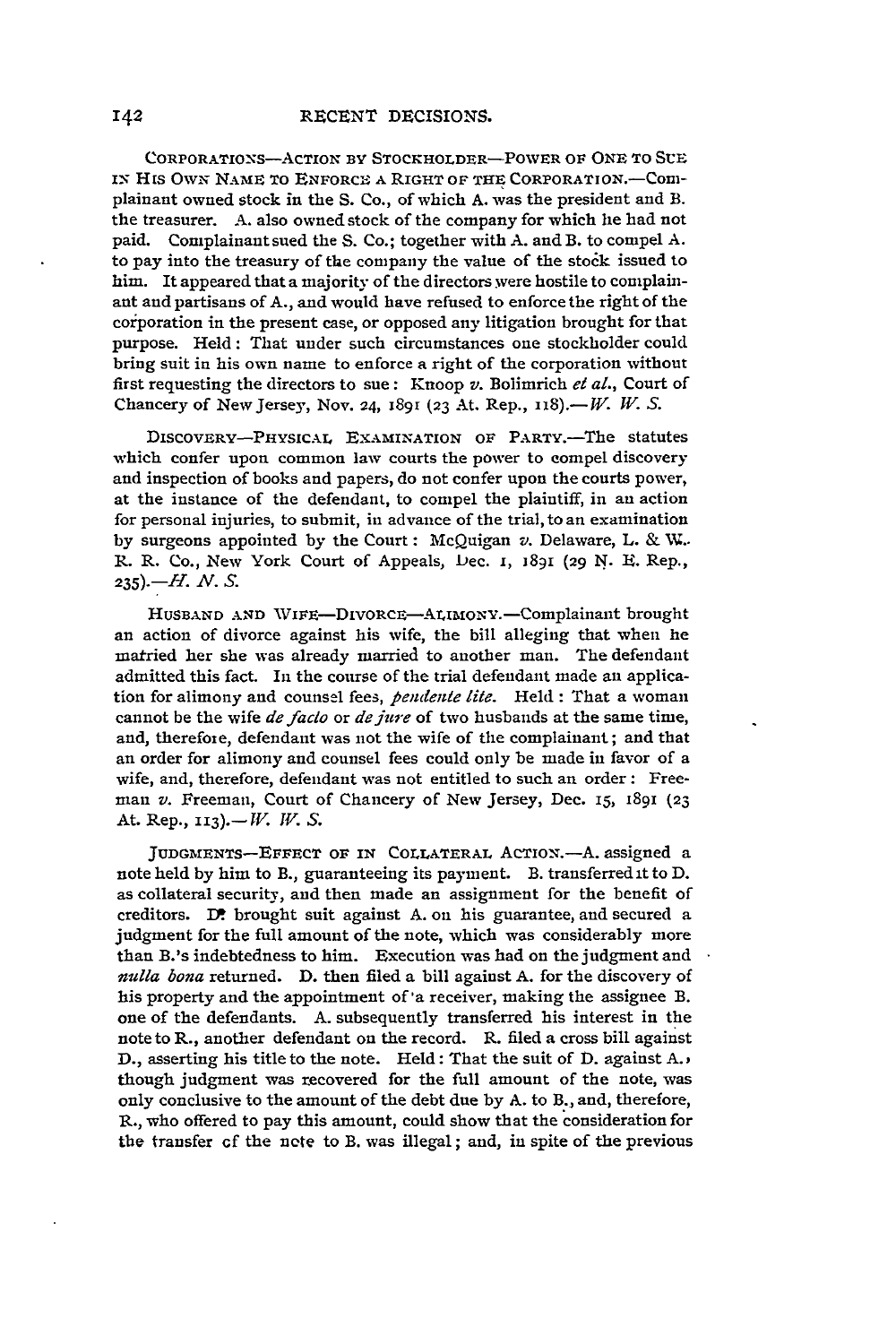CORPORATIONS-ACTION BY STOCKHOLDER-POWER OF ONE TO SUE IN HIS OWN NAME TO ENFORCE A RIGHT OF THE CORPORATION.--Complainant owned stock in the S. Co., of which A. was the president and B. the treasurer. A. also owned stock of the company for which lie had not paid. Complainant sued the S. Co.; together with A. and B. to compel A. to pay into the treasury of the company the value of the stock issued to him. It appeared that a majority of the directors were hostile to complainant and partisans of A., and would have refused to enforce the right of the corporation in the present case, or opposed any litigation brought for that purpose. Held: That under such circumstances one stockholder could bring suit in his own name to enforce a right of the corporation without first requesting the directors to sue: Knoop *v.* Bolimrich *el al.,* Court of Chancery of New Jersey, Nov. 24, 1891 (23 At. Rep., 118).-*W. W. S.* 

DIsCOVERY-PHYSICAL EXAMINATION OF PARTY.-The statutes which confer upon common law courts the power to compel discovery and inspection of books and papers, do not confer upon the courts power, at the instance of the defendant, to compel the plaintiff, in an action for personal injuries, to submit, in advance of the trial, to an examination by surgeons appointed by the Court: McQuigan *v.* Delaware, L. & V.. R. R. Co., New York Court of Appeals, Dec. I, 1891 **(29** N. **E.** Rep., *235).-H. N. S.*

HUSBAND AND WIFE-DIVORCE-ALIMONY.-Complainant brought an action of divorce against his wife, the bill alleging that when he married her she was already married to another man. The defendant admitted this fact. In the course of the trial defendant made an application for alimony and counsel fees, *pendente lile.* Held : That a woman cannot be the wife *de facto* or *de jure* of two husbands at the same time, and, therefore, defendant was not the wife of the complainant; and that an order for alimony and counsel fees could only be made in favor of a wife, and, therefore, defendant was not entitled to such an order: Freeman *v.* Freeman, Court of Chancery of New Jersey, Dec. 15, **1891 (23** At. Rep., 113). - *W. W. S.* 

JUDGMENTS-EFFECT OF IN COLLATERAL ACTION.-A. assigned a note held by him to B., guaranteeing its payment. B. transferred it to D. as collateral security, and then made an assignment for the benefit of creditors. D. brought suit against A. on his guarantee, and secured a judgment for the full amount of the note, which was considerably more than B.'s indebtedness to him. Execution was had on the judgment and *nulla bona* returned. D. then filed a bill against A. for the discovery of his property and the appointment of'a receiver, making the assignee B. one of the defendants. A. subsequently transferred his interest in the note to R., another defendant on the record. R. filed a cross bill against D., asserting his title to the note. Held: That the suit of D. against **A.)** though judgment was recovered for the full amount of the note, was only conclusive to the amount of the debt due by A. to B., and, therefore, R., who offered to pay this amount, could show that the consideration for the transfer cf the ncte to B. was illegal; and, in spite of the previous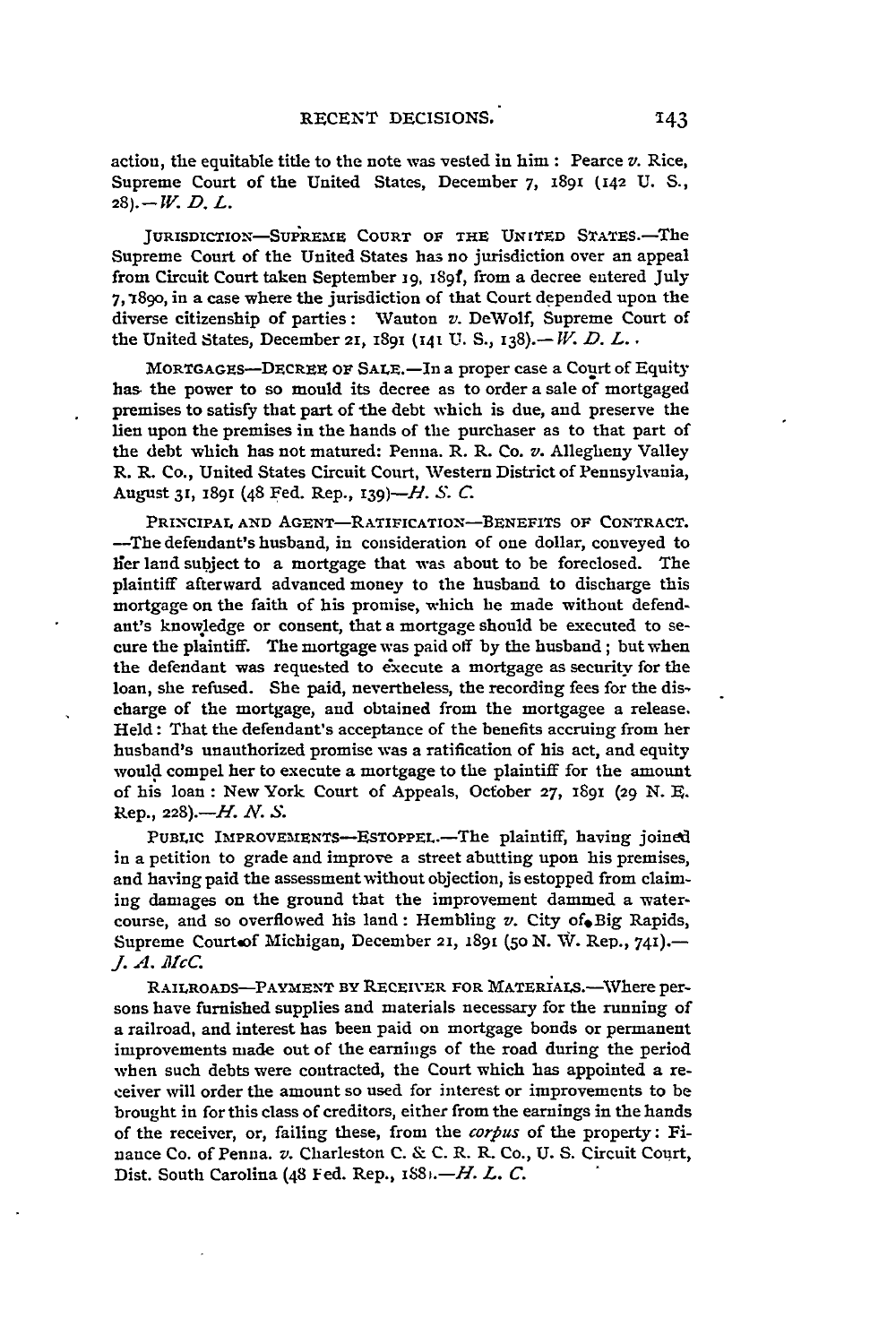action, the equitable title to the note was vested in him : Pearce *v.* Rice, Supreme Court of the United States, December **7,** 1891 (42 **U. S., 28).-W.** *D. L.*

JURISDICTION-SUPREME COURT OF THE UNITED STATES.-The Supreme Court of the United States has no jurisdiction over an appeal from Circuit Court taken September 19, 1891, from a decree entered July **7,1 890,** in a case where the jurisdiction of that Court depended upon the diverse citizenship of parties: Wauton *v.* DeWolf, Supreme Court of the United States, December 21, 1891 (141 **U. S.,** 138).- *IV. D. L.* **•**

MORTGAGES--DECREE OF SALE.-In a proper case a Court of Equity **has,** the power to so mould its decree as to order a sale **of** mortgaged premises to satisfy that part of the debt which is due, and preserve the lien upon the premises in the hands of the purchaser as to that part of the debt which has not matured: Penna. R. R. Co. v. Allegheny Valley R. R. Co., United States Circuit Court, Western District of Pennsylvania, August **31, 189i** (48 Fed. Rep., I39)-H. **.** *C.*

PRINCIPAL **AND** AGENT-RATIFICATION-BENEFITS **OF CONTRACT.** -The defendant's husband, in consideration of one dollar, conveyed to lier land subject to a mortgage that was about to be foreclosed. The plaintiff afterward advanced money to the husband to discharge this mortgage on the faith of his promise, which he made without defendant's knowledge or consent, that a mortgage should be executed to secure the plaintiff. The mortgage was paid off **by** the husband; but when the defendant was requested to execute a mortgage as security for the loan, she refused. She paid, nevertheless, the recording fees for the discharge of the mortgage, and obtained from the mortgagee a release. Held: That the defendant's acceptance of the benefits accruing from her husband's unauthorized promise was a ratification of his act, and equity would compel her to execute a mortgage to the plaintiff for the amount of his loan: New York Court of Appeals, October **27,** 1891 (29 *N.* **E.** Rep., 228).-IH. *Ar . S.*

PUBLIC IMPROVEMENTS-ESTOPPEL.-The plaintiff, having joined in a petition to grade and improve a street abutting upon his premises, and having paid the assessment without objection, is estopped from claiming damages on the ground that the improvement dammed a watercourse, and so overflowed his land: Hembling *v*. City of. Big Rapids, Supreme Courtoof Michigan, December 21, 1891 (50 N. W. Rep., 741).-*. A. mcC.*

RAILROADS-PAYMENT BY RECEIVER FOR MATERIALS.-- Where persons have furnished supplies and materials necessary for the running of a railroad, and interest has been paid on mortgage bonds or permanent improvements made out of the earnings of the road during the period when such debts were contracted, the Court which has appointed a receiver will order the amount so used for interest or improvements to be brought in for this class of creditors, either from the earnings in the hands of the receiver, or, failing these, from the *corfius* of the property: Finance Co. of Penna. *v.* Charleston C. & C. R. R. Co., U. S. Circuit Court, Dist. South Carolina (48 Fed. Rep., *i88.-H. L. C.*